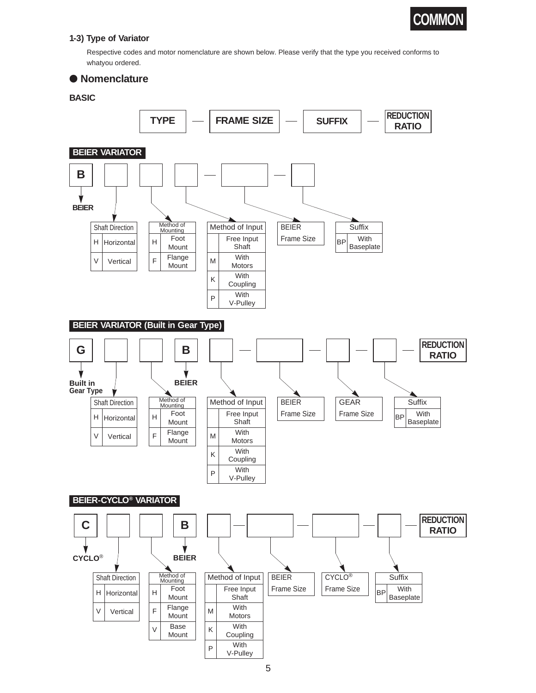

## **1-3) Type of Variator**

Respective codes and motor nomenclature are shown below. Please verify that the type you received conforms to whatyou ordered.

## ● **Nomenclature**

## **BASIC**